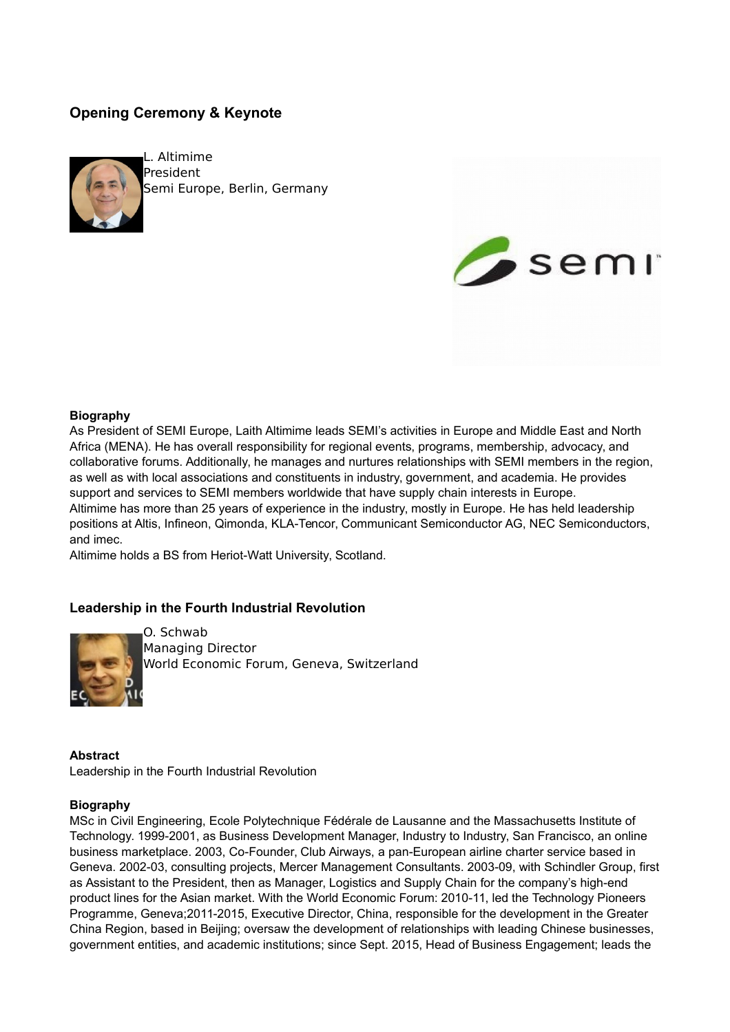# **Opening Ceremony & Keynote**



L. Altimime President Semi Europe, Berlin, Germany



## **Biography**

As President of SEMI Europe, Laith Altimime leads SEMI's activities in Europe and Middle East and North Africa (MENA). He has overall responsibility for regional events, programs, membership, advocacy, and collaborative forums. Additionally, he manages and nurtures relationships with SEMI members in the region, as well as with local associations and constituents in industry, government, and academia. He provides support and services to SEMI members worldwide that have supply chain interests in Europe. Altimime has more than 25 years of experience in the industry, mostly in Europe. He has held leadership positions at Altis, Infineon, Qimonda, KLA-Tencor, Communicant Semiconductor AG, NEC Semiconductors, and imec.

Altimime holds a BS from Heriot-Watt University, Scotland.

# **Leadership in the Fourth Industrial Revolution**



O. Schwab Managing Director World Economic Forum, Geneva, Switzerland

### **Abstract**

Leadership in the Fourth Industrial Revolution

#### **Biography**

MSc in Civil Engineering, Ecole Polytechnique Fédérale de Lausanne and the Massachusetts Institute of Technology. 1999-2001, as Business Development Manager, Industry to Industry, San Francisco, an online business marketplace. 2003, Co-Founder, Club Airways, a pan-European airline charter service based in Geneva. 2002-03, consulting projects, Mercer Management Consultants. 2003-09, with Schindler Group, first as Assistant to the President, then as Manager, Logistics and Supply Chain for the company's high-end product lines for the Asian market. With the World Economic Forum: 2010-11, led the Technology Pioneers Programme, Geneva;2011-2015, Executive Director, China, responsible for the development in the Greater China Region, based in Beijing; oversaw the development of relationships with leading Chinese businesses, government entities, and academic institutions; since Sept. 2015, Head of Business Engagement; leads the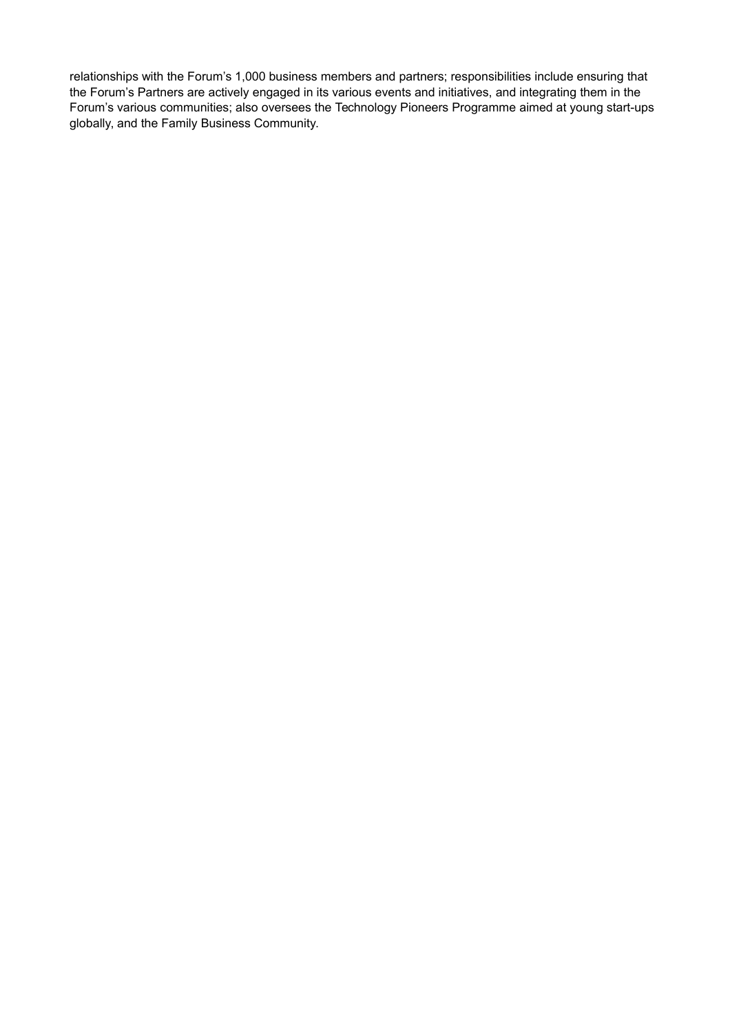relationships with the Forum's 1,000 business members and partners; responsibilities include ensuring that the Forum's Partners are actively engaged in its various events and initiatives, and integrating them in the Forum's various communities; also oversees the Technology Pioneers Programme aimed at young start-ups globally, and the Family Business Community.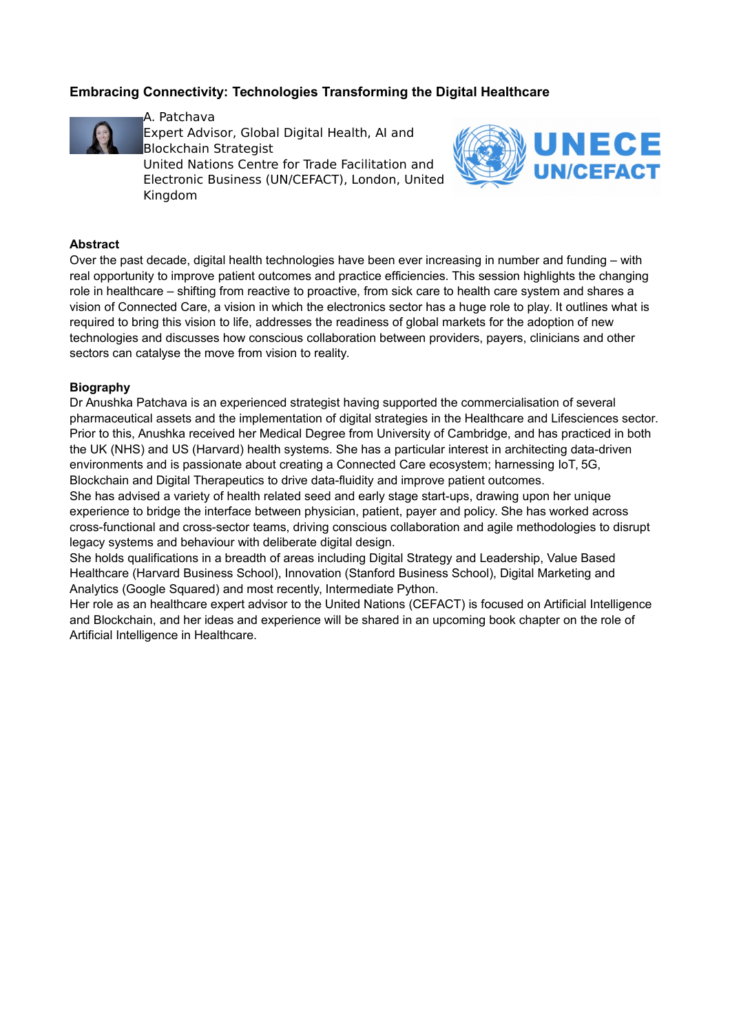# **Embracing Connectivity: Technologies Transforming the Digital Healthcare**



A. Patchava Expert Advisor, Global Digital Health, AI and Blockchain Strategist United Nations Centre for Trade Facilitation and

Electronic Business (UN/CEFACT), London, United Kingdom



### **Abstract**

Over the past decade, digital health technologies have been ever increasing in number and funding – with real opportunity to improve patient outcomes and practice efficiencies. This session highlights the changing role in healthcare – shifting from reactive to proactive, from sick care to health care system and shares a vision of Connected Care, a vision in which the electronics sector has a huge role to play. It outlines what is required to bring this vision to life, addresses the readiness of global markets for the adoption of new technologies and discusses how conscious collaboration between providers, payers, clinicians and other sectors can catalyse the move from vision to reality.

### **Biography**

Dr Anushka Patchava is an experienced strategist having supported the commercialisation of several pharmaceutical assets and the implementation of digital strategies in the Healthcare and Lifesciences sector. Prior to this, Anushka received her Medical Degree from University of Cambridge, and has practiced in both the UK (NHS) and US (Harvard) health systems. She has a particular interest in architecting data-driven environments and is passionate about creating a Connected Care ecosystem; harnessing IoT, 5G, Blockchain and Digital Therapeutics to drive data-fluidity and improve patient outcomes.

She has advised a variety of health related seed and early stage start-ups, drawing upon her unique experience to bridge the interface between physician, patient, payer and policy. She has worked across cross-functional and cross-sector teams, driving conscious collaboration and agile methodologies to disrupt legacy systems and behaviour with deliberate digital design.

She holds qualifications in a breadth of areas including Digital Strategy and Leadership, Value Based Healthcare (Harvard Business School), Innovation (Stanford Business School), Digital Marketing and Analytics (Google Squared) and most recently, Intermediate Python.

Her role as an healthcare expert advisor to the United Nations (CEFACT) is focused on Artificial Intelligence and Blockchain, and her ideas and experience will be shared in an upcoming book chapter on the role of Artificial Intelligence in Healthcare.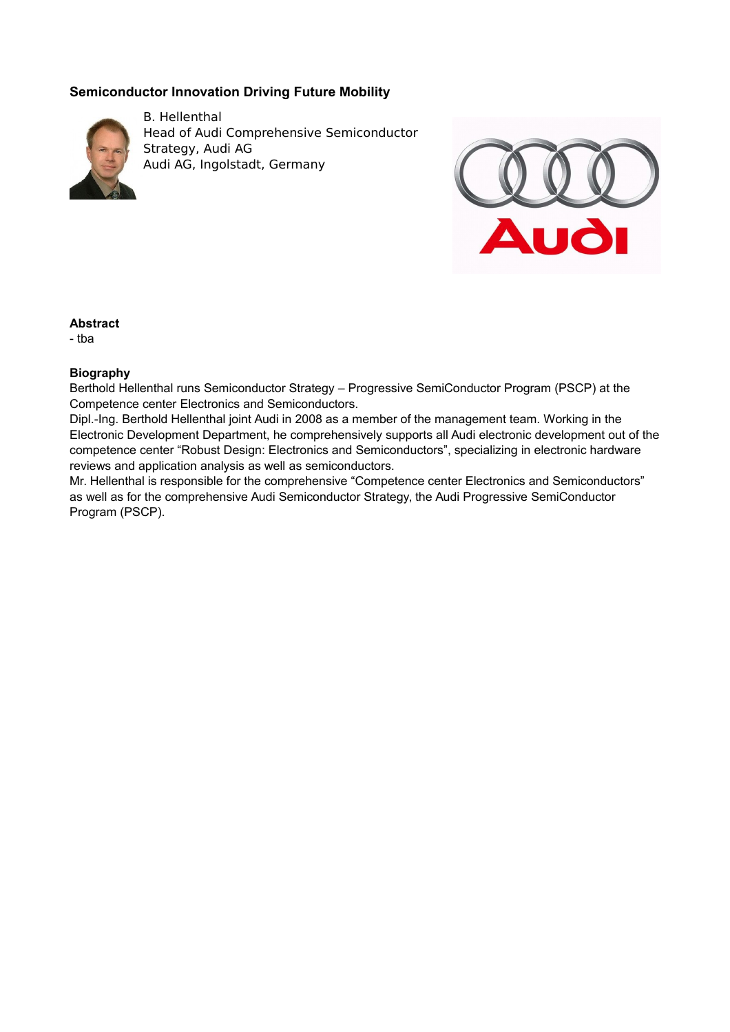# **Semiconductor Innovation Driving Future Mobility**



B. Hellenthal Head of Audi Comprehensive Semiconductor Strategy, Audi AG Audi AG, Ingolstadt, Germany



## **Abstract**

- tba

## **Biography**

Berthold Hellenthal runs Semiconductor Strategy – Progressive SemiConductor Program (PSCP) at the Competence center Electronics and Semiconductors.

Dipl.-Ing. Berthold Hellenthal joint Audi in 2008 as a member of the management team. Working in the Electronic Development Department, he comprehensively supports all Audi electronic development out of the competence center "Robust Design: Electronics and Semiconductors", specializing in electronic hardware reviews and application analysis as well as semiconductors.

Mr. Hellenthal is responsible for the comprehensive "Competence center Electronics and Semiconductors" as well as for the comprehensive Audi Semiconductor Strategy, the Audi Progressive SemiConductor Program (PSCP).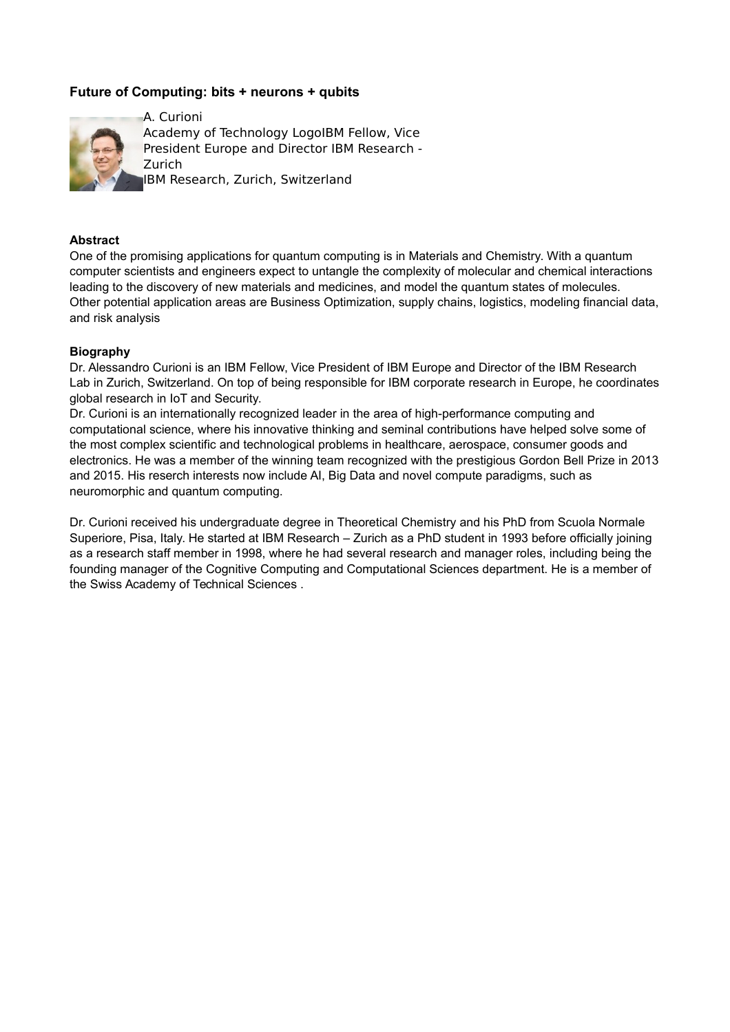# **Future of Computing: bits + neurons + qubits**



### **Abstract**

One of the promising applications for quantum computing is in Materials and Chemistry. With a quantum computer scientists and engineers expect to untangle the complexity of molecular and chemical interactions leading to the discovery of new materials and medicines, and model the quantum states of molecules. Other potential application areas are Business Optimization, supply chains, logistics, modeling financial data, and risk analysis

### **Biography**

Dr. Alessandro Curioni is an IBM Fellow, Vice President of IBM Europe and Director of the IBM Research Lab in Zurich, Switzerland. On top of being responsible for IBM corporate research in Europe, he coordinates global research in IoT and Security.

Dr. Curioni is an internationally recognized leader in the area of high-performance computing and computational science, where his innovative thinking and seminal contributions have helped solve some of the most complex scientific and technological problems in healthcare, aerospace, consumer goods and electronics. He was a member of the winning team recognized with the prestigious Gordon Bell Prize in 2013 and 2015. His reserch interests now include AI, Big Data and novel compute paradigms, such as neuromorphic and quantum computing.

Dr. Curioni received his undergraduate degree in Theoretical Chemistry and his PhD from Scuola Normale Superiore, Pisa, Italy. He started at IBM Research – Zurich as a PhD student in 1993 before officially joining as a research staff member in 1998, where he had several research and manager roles, including being the founding manager of the Cognitive Computing and Computational Sciences department. He is a member of the Swiss Academy of Technical Sciences .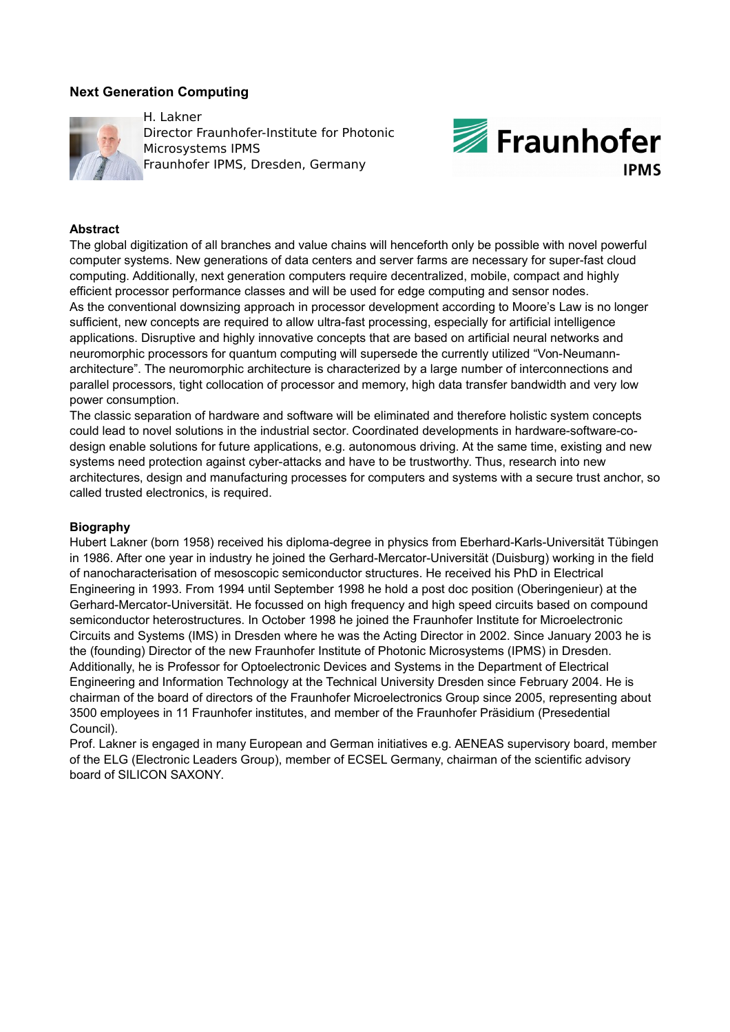# **Next Generation Computing**



H. Lakner Director Fraunhofer-Institute for Photonic Microsystems IPMS Fraunhofer IPMS, Dresden, Germany



### **Abstract**

The global digitization of all branches and value chains will henceforth only be possible with novel powerful computer systems. New generations of data centers and server farms are necessary for super-fast cloud computing. Additionally, next generation computers require decentralized, mobile, compact and highly efficient processor performance classes and will be used for edge computing and sensor nodes. As the conventional downsizing approach in processor development according to Moore's Law is no longer sufficient, new concepts are required to allow ultra-fast processing, especially for artificial intelligence applications. Disruptive and highly innovative concepts that are based on artificial neural networks and neuromorphic processors for quantum computing will supersede the currently utilized "Von-Neumannarchitecture". The neuromorphic architecture is characterized by a large number of interconnections and parallel processors, tight collocation of processor and memory, high data transfer bandwidth and very low power consumption.

The classic separation of hardware and software will be eliminated and therefore holistic system concepts could lead to novel solutions in the industrial sector. Coordinated developments in hardware-software-codesign enable solutions for future applications, e.g. autonomous driving. At the same time, existing and new systems need protection against cyber-attacks and have to be trustworthy. Thus, research into new architectures, design and manufacturing processes for computers and systems with a secure trust anchor, so called trusted electronics, is required.

#### **Biography**

Hubert Lakner (born 1958) received his diploma-degree in physics from Eberhard-Karls-Universität Tübingen in 1986. After one year in industry he joined the Gerhard-Mercator-Universität (Duisburg) working in the field of nanocharacterisation of mesoscopic semiconductor structures. He received his PhD in Electrical Engineering in 1993. From 1994 until September 1998 he hold a post doc position (Oberingenieur) at the Gerhard-Mercator-Universität. He focussed on high frequency and high speed circuits based on compound semiconductor heterostructures. In October 1998 he joined the Fraunhofer Institute for Microelectronic Circuits and Systems (IMS) in Dresden where he was the Acting Director in 2002. Since January 2003 he is the (founding) Director of the new Fraunhofer Institute of Photonic Microsystems (IPMS) in Dresden. Additionally, he is Professor for Optoelectronic Devices and Systems in the Department of Electrical Engineering and Information Technology at the Technical University Dresden since February 2004. He is chairman of the board of directors of the Fraunhofer Microelectronics Group since 2005, representing about 3500 employees in 11 Fraunhofer institutes, and member of the Fraunhofer Präsidium (Presedential Council).

Prof. Lakner is engaged in many European and German initiatives e.g. AENEAS supervisory board, member of the ELG (Electronic Leaders Group), member of ECSEL Germany, chairman of the scientific advisory board of SILICON SAXONY.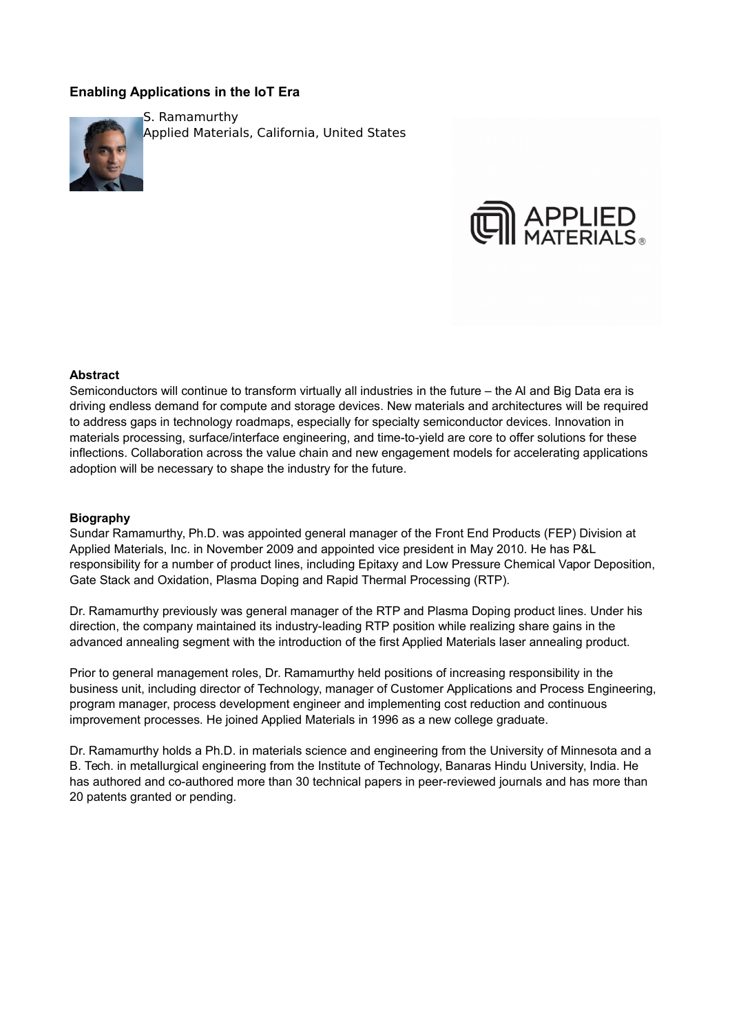# **Enabling Applications in the IoT Era**



S. Ramamurthy Applied Materials, California, United States



#### **Abstract**

Semiconductors will continue to transform virtually all industries in the future – the AI and Big Data era is driving endless demand for compute and storage devices. New materials and architectures will be required to address gaps in technology roadmaps, especially for specialty semiconductor devices. Innovation in materials processing, surface/interface engineering, and time-to-yield are core to offer solutions for these inflections. Collaboration across the value chain and new engagement models for accelerating applications adoption will be necessary to shape the industry for the future.

#### **Biography**

Sundar Ramamurthy, Ph.D. was appointed general manager of the Front End Products (FEP) Division at Applied Materials, Inc. in November 2009 and appointed vice president in May 2010. He has P&L responsibility for a number of product lines, including Epitaxy and Low Pressure Chemical Vapor Deposition, Gate Stack and Oxidation, Plasma Doping and Rapid Thermal Processing (RTP).

Dr. Ramamurthy previously was general manager of the RTP and Plasma Doping product lines. Under his direction, the company maintained its industry-leading RTP position while realizing share gains in the advanced annealing segment with the introduction of the first Applied Materials laser annealing product.

Prior to general management roles, Dr. Ramamurthy held positions of increasing responsibility in the business unit, including director of Technology, manager of Customer Applications and Process Engineering, program manager, process development engineer and implementing cost reduction and continuous improvement processes. He joined Applied Materials in 1996 as a new college graduate.

Dr. Ramamurthy holds a Ph.D. in materials science and engineering from the University of Minnesota and a B. Tech. in metallurgical engineering from the Institute of Technology, Banaras Hindu University, India. He has authored and co-authored more than 30 technical papers in peer-reviewed journals and has more than 20 patents granted or pending.